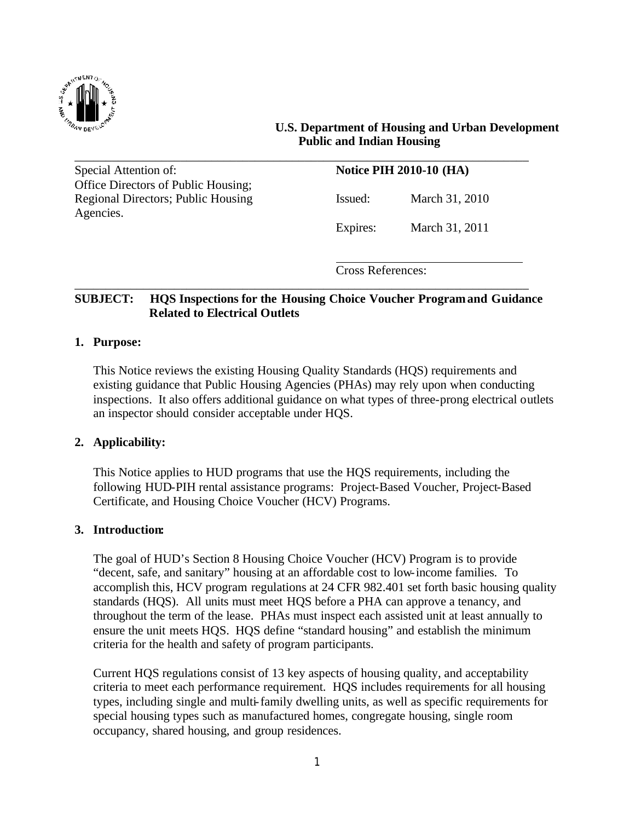

#### **U.S. Department of Housing and Urban Development Public and Indian Housing**

Special Attention of: **Notice PIH 2010-10 (HA)** Office Directors of Public Housing; Regional Directors; Public Housing Issued: March 31, 2010 Agencies.

Expires: March 31, 2011

Cross References:

# **SUBJECT: HQS Inspections for the Housing Choice Voucher Programand Guidance Related to Electrical Outlets**

\_\_\_\_\_\_\_\_\_\_\_\_\_\_\_\_\_\_\_\_\_\_\_\_\_\_\_\_\_\_\_\_\_\_\_\_\_\_\_\_\_\_\_\_\_\_\_\_\_\_\_\_\_\_\_\_\_\_\_\_\_\_\_\_\_\_\_\_\_\_\_\_\_

\_\_\_\_\_\_\_\_\_\_\_\_\_\_\_\_\_\_\_\_\_\_\_\_\_\_\_\_\_\_\_\_\_\_\_\_\_\_\_\_\_\_\_\_\_\_\_\_\_\_\_\_\_\_\_\_\_\_\_\_\_\_\_\_\_\_\_\_\_\_\_\_\_

#### **1. Purpose:**

This Notice reviews the existing Housing Quality Standards (HQS) requirements and existing guidance that Public Housing Agencies (PHAs) may rely upon when conducting inspections. It also offers additional guidance on what types of three-prong electrical outlets an inspector should consider acceptable under HQS.

#### **2. Applicability:**

This Notice applies to HUD programs that use the HQS requirements, including the following HUD-PIH rental assistance programs: Project-Based Voucher, Project-Based Certificate, and Housing Choice Voucher (HCV) Programs.

#### **3. Introduction:**

The goal of HUD's Section 8 Housing Choice Voucher (HCV) Program is to provide "decent, safe, and sanitary" housing at an affordable cost to low-income families. To accomplish this, HCV program regulations at 24 CFR 982.401 set forth basic housing quality standards (HQS). All units must meet HQS before a PHA can approve a tenancy, and throughout the term of the lease. PHAs must inspect each assisted unit at least annually to ensure the unit meets HQS. HQS define "standard housing" and establish the minimum criteria for the health and safety of program participants.

Current HQS regulations consist of 13 key aspects of housing quality, and acceptability criteria to meet each performance requirement. HQS includes requirements for all housing types, including single and multi-family dwelling units, as well as specific requirements for special housing types such as manufactured homes, congregate housing, single room occupancy, shared housing, and group residences.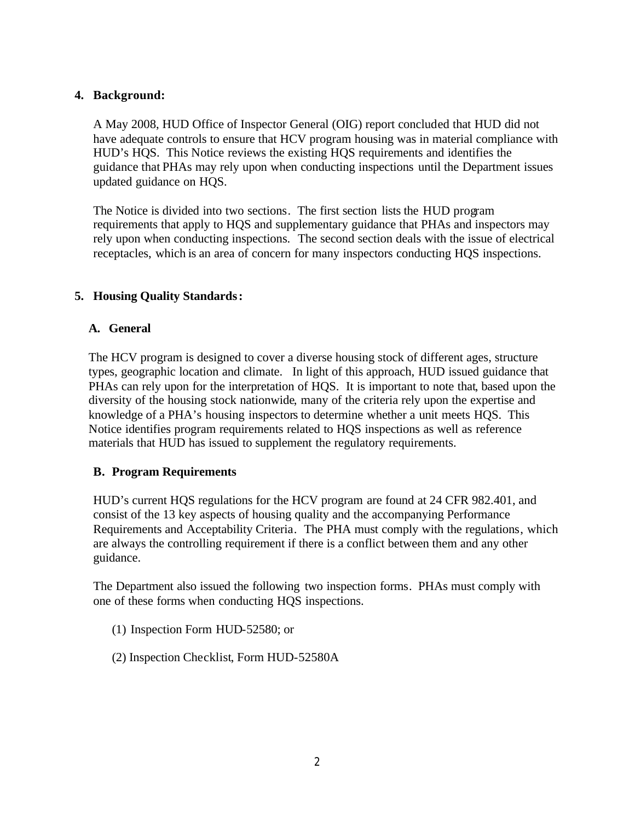# **4. Background:**

A May 2008, HUD Office of Inspector General (OIG) report concluded that HUD did not have adequate controls to ensure that HCV program housing was in material compliance with HUD's HQS. This Notice reviews the existing HQS requirements and identifies the guidance that PHAs may rely upon when conducting inspections until the Department issues updated guidance on HQS.

The Notice is divided into two sections. The first section lists the HUD program requirements that apply to HQS and supplementary guidance that PHAs and inspectors may rely upon when conducting inspections. The second section deals with the issue of electrical receptacles, which is an area of concern for many inspectors conducting HQS inspections.

# **5. Housing Quality Standards:**

#### **A. General**

The HCV program is designed to cover a diverse housing stock of different ages, structure types, geographic location and climate. In light of this approach, HUD issued guidance that PHAs can rely upon for the interpretation of HQS. It is important to note that, based upon the diversity of the housing stock nationwide, many of the criteria rely upon the expertise and knowledge of a PHA's housing inspectors to determine whether a unit meets HQS. This Notice identifies program requirements related to HQS inspections as well as reference materials that HUD has issued to supplement the regulatory requirements.

#### **B. Program Requirements**

HUD's current HQS regulations for the HCV program are found at 24 CFR 982.401, and consist of the 13 key aspects of housing quality and the accompanying Performance Requirements and Acceptability Criteria. The PHA must comply with the regulations, which are always the controlling requirement if there is a conflict between them and any other guidance.

The Department also issued the following two inspection forms. PHAs must comply with one of these forms when conducting HQS inspections.

- (1) Inspection Form HUD-52580; or
- (2) Inspection Checklist, Form HUD-52580A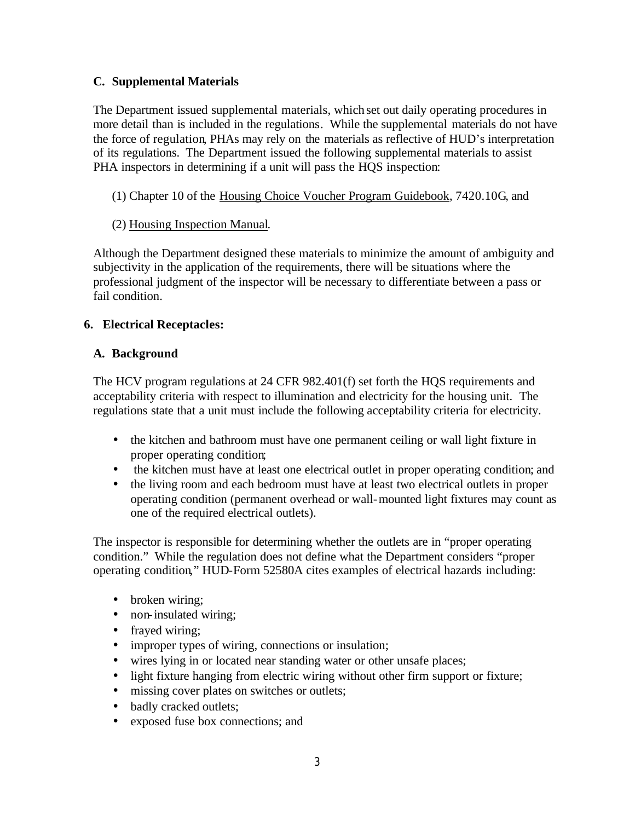# **C. Supplemental Materials**

The Department issued supplemental materials, which set out daily operating procedures in more detail than is included in the regulations. While the supplemental materials do not have the force of regulation, PHAs may rely on the materials as reflective of HUD's interpretation of its regulations. The Department issued the following supplemental materials to assist PHA inspectors in determining if a unit will pass the HQS inspection:

(1) Chapter 10 of the Housing Choice Voucher Program Guidebook, 7420.10G, and

#### (2) Housing Inspection Manual.

Although the Department designed these materials to minimize the amount of ambiguity and subjectivity in the application of the requirements, there will be situations where the professional judgment of the inspector will be necessary to differentiate between a pass or fail condition.

#### **6. Electrical Receptacles:**

#### **A. Background**

The HCV program regulations at 24 CFR 982.401(f) set forth the HQS requirements and acceptability criteria with respect to illumination and electricity for the housing unit. The regulations state that a unit must include the following acceptability criteria for electricity.

- the kitchen and bathroom must have one permanent ceiling or wall light fixture in proper operating condition;
- the kitchen must have at least one electrical outlet in proper operating condition; and
- the living room and each bedroom must have at least two electrical outlets in proper operating condition (permanent overhead or wall-mounted light fixtures may count as one of the required electrical outlets).

The inspector is responsible for determining whether the outlets are in "proper operating condition." While the regulation does not define what the Department considers "proper operating condition," HUD-Form 52580A cites examples of electrical hazards including:

- broken wiring;
- non-insulated wiring;
- frayed wiring;
- improper types of wiring, connections or insulation;
- wires lying in or located near standing water or other unsafe places;
- light fixture hanging from electric wiring without other firm support or fixture;
- missing cover plates on switches or outlets;
- badly cracked outlets;
- exposed fuse box connections; and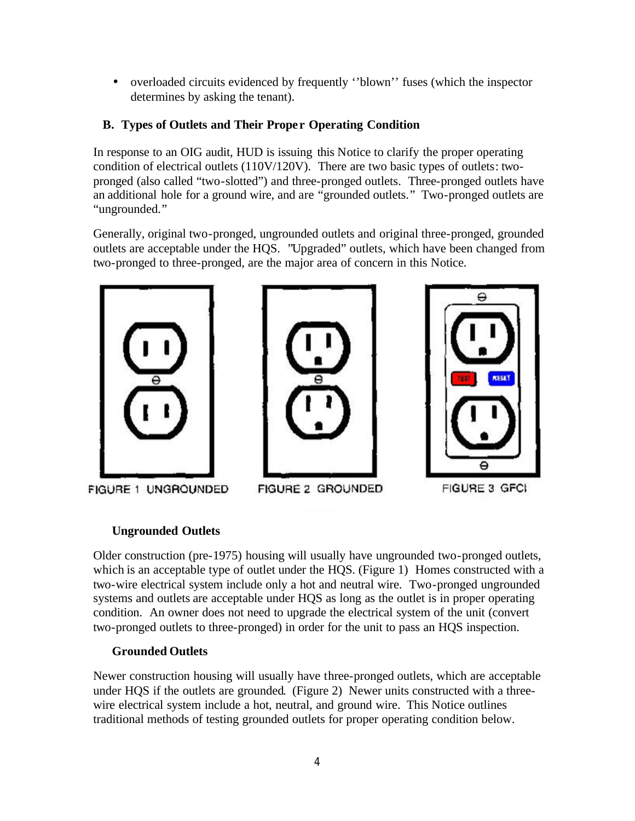• overloaded circuits evidenced by frequently "blown" fuses (which the inspector determines by asking the tenant).

# **B. Types of Outlets and Their Prope r Operating Condition**

In response to an OIG audit, HUD is issuing this Notice to clarify the proper operating condition of electrical outlets (110V/120V). There are two basic types of outlets: twopronged (also called "two-slotted") and three-pronged outlets. Three-pronged outlets have an additional hole for a ground wire, and are "grounded outlets." Two-pronged outlets are "ungrounded."

Generally, original two-pronged, ungrounded outlets and original three-pronged, grounded outlets are acceptable under the HQS. "Upgraded" outlets, which have been changed from two-pronged to three-pronged, are the major area of concern in this Notice.



FIGURE 1 UNGROUNDED





# FIGURE 2 GROUNDED

FIGURE 3 GFCI

θ

**RESET** 

# **Ungrounded Outlets**

Older construction (pre-1975) housing will usually have ungrounded two-pronged outlets, which is an acceptable type of outlet under the HQS. (Figure 1) Homes constructed with a two-wire electrical system include only a hot and neutral wire. Two-pronged ungrounded systems and outlets are acceptable under HQS as long as the outlet is in proper operating condition. An owner does not need to upgrade the electrical system of the unit (convert two-pronged outlets to three-pronged) in order for the unit to pass an HQS inspection.

# **Grounded Outlets**

Newer construction housing will usually have three-pronged outlets, which are acceptable under HQS if the outlets are grounded. (Figure 2) Newer units constructed with a threewire electrical system include a hot, neutral, and ground wire. This Notice outlines traditional methods of testing grounded outlets for proper operating condition below.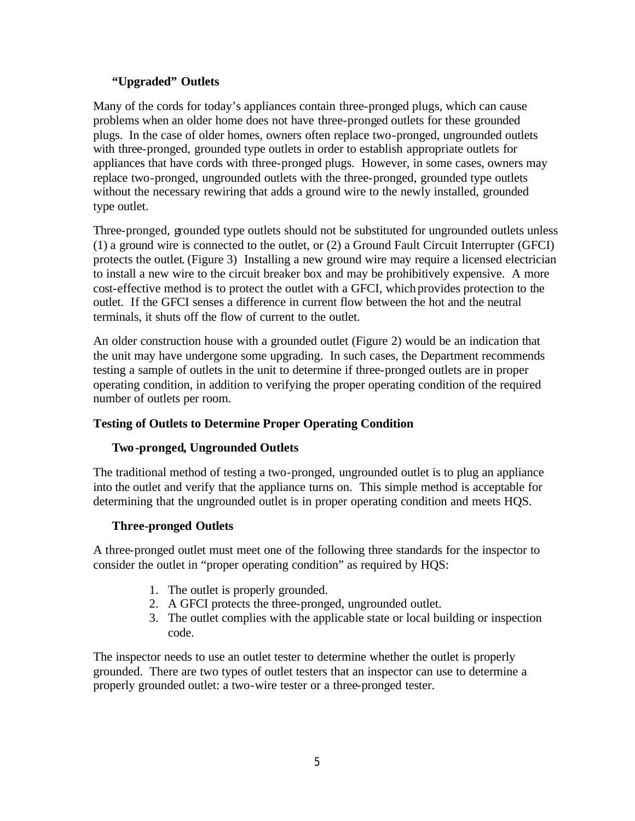# **"Upgraded" Outlets**

Many of the cords for today's appliances contain three-pronged plugs, which can cause problems when an older home does not have three-pronged outlets for these grounded plugs. In the case of older homes, owners often replace two-pronged, ungrounded outlets with three-pronged, grounded type outlets in order to establish appropriate outlets for appliances that have cords with three-pronged plugs. However, in some cases, owners may replace two-pronged, ungrounded outlets with the three-pronged, grounded type outlets without the necessary rewiring that adds a ground wire to the newly installed, grounded type outlet.

Three-pronged, grounded type outlets should not be substituted for ungrounded outlets unless (1) a ground wire is connected to the outlet, or (2) a Ground Fault Circuit Interrupter (GFCI) protects the outlet. (Figure 3) Installing a new ground wire may require a licensed electrician to install a new wire to the circuit breaker box and may be prohibitively expensive. A more cost-effective method is to protect the outlet with a GFCI, which provides protection to the outlet. If the GFCI senses a difference in current flow between the hot and the neutral terminals, it shuts off the flow of current to the outlet.

An older construction house with a grounded outlet (Figure 2) would be an indication that the unit may have undergone some upgrading. In such cases, the Department recommends testing a sample of outlets in the unit to determine if three-pronged outlets are in proper operating condition, in addition to verifying the proper operating condition of the required number of outlets per room.

# **Testing of Outlets to Determine Proper Operating Condition**

# **Two-pronged, Ungrounded Outlets**

The traditional method of testing a two-pronged, ungrounded outlet is to plug an appliance into the outlet and verify that the appliance turns on. This simple method is acceptable for determining that the ungrounded outlet is in proper operating condition and meets HQS.

#### **Three-pronged Outlets**

A three-pronged outlet must meet one of the following three standards for the inspector to consider the outlet in "proper operating condition" as required by HQS:

- 1. The outlet is properly grounded.
- 2. A GFCI protects the three-pronged, ungrounded outlet.
- 3. The outlet complies with the applicable state or local building or inspection code.

The inspector needs to use an outlet tester to determine whether the outlet is properly grounded. There are two types of outlet testers that an inspector can use to determine a properly grounded outlet: a two-wire tester or a three-pronged tester.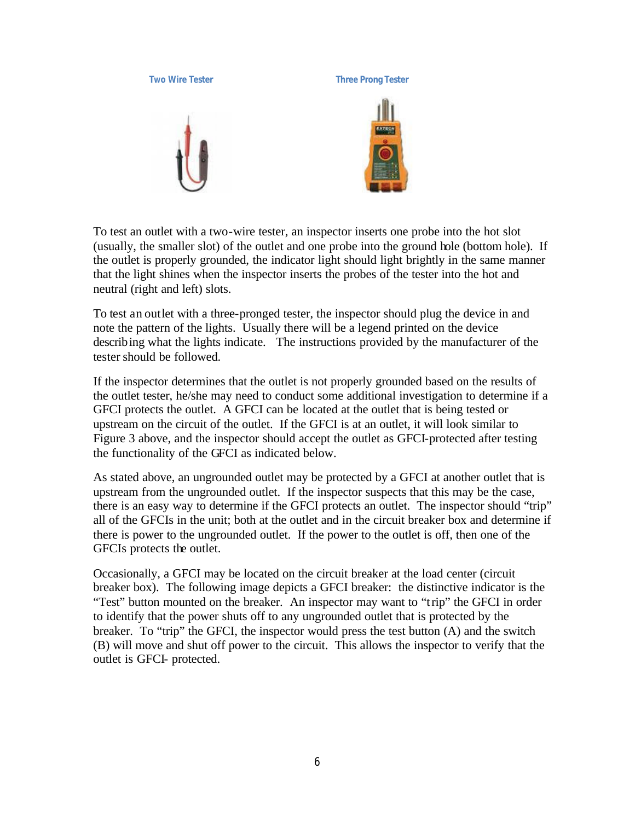# **Two Wire Tester Three Prong Tester**

To test an outlet with a two-wire tester, an inspector inserts one probe into the hot slot (usually, the smaller slot) of the outlet and one probe into the ground hole (bottom hole). If the outlet is properly grounded, the indicator light should light brightly in the same manner that the light shines when the inspector inserts the probes of the tester into the hot and neutral (right and left) slots.

To test an outlet with a three-pronged tester, the inspector should plug the device in and note the pattern of the lights. Usually there will be a legend printed on the device describing what the lights indicate. The instructions provided by the manufacturer of the tester should be followed.

If the inspector determines that the outlet is not properly grounded based on the results of the outlet tester, he/she may need to conduct some additional investigation to determine if a GFCI protects the outlet. A GFCI can be located at the outlet that is being tested or upstream on the circuit of the outlet. If the GFCI is at an outlet, it will look similar to Figure 3 above, and the inspector should accept the outlet as GFCI-protected after testing the functionality of the GFCI as indicated below.

As stated above, an ungrounded outlet may be protected by a GFCI at another outlet that is upstream from the ungrounded outlet. If the inspector suspects that this may be the case, there is an easy way to determine if the GFCI protects an outlet. The inspector should "trip" all of the GFCIs in the unit; both at the outlet and in the circuit breaker box and determine if there is power to the ungrounded outlet. If the power to the outlet is off, then one of the GFCIs protects the outlet.

Occasionally, a GFCI may be located on the circuit breaker at the load center (circuit breaker box). The following image depicts a GFCI breaker: the distinctive indicator is the "Test" button mounted on the breaker. An inspector may want to "trip" the GFCI in order to identify that the power shuts off to any ungrounded outlet that is protected by the breaker. To "trip" the GFCI, the inspector would press the test button (A) and the switch (B) will move and shut off power to the circuit. This allows the inspector to verify that the outlet is GFCI- protected.